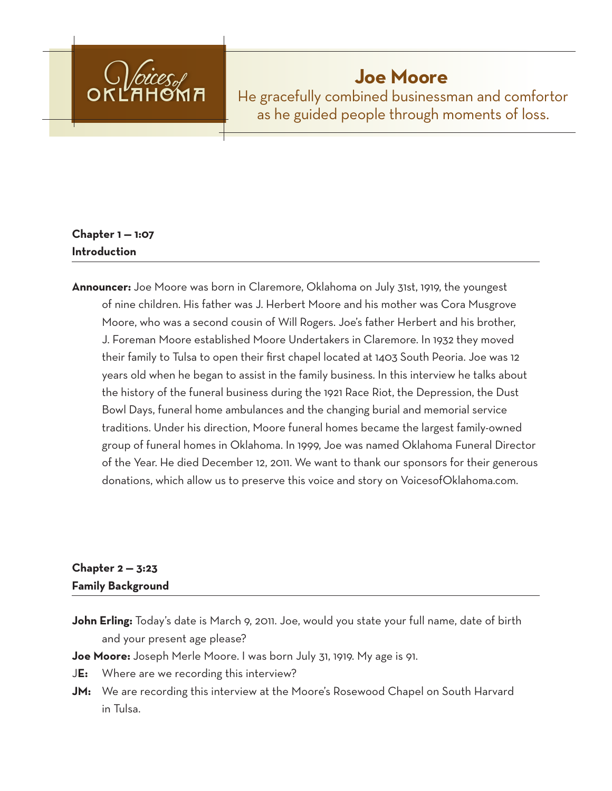

# **Joe Moore**

He gracefully combined businessman and comfortor as he guided people through moments of loss.

## **Chapter 1 — 1:07 Introduction**

**Announcer:** Joe Moore was born in Claremore, Oklahoma on July 31st, 1919, the youngest of nine children. His father was J. Herbert Moore and his mother was Cora Musgrove Moore, who was a second cousin of Will Rogers. Joe's father Herbert and his brother, J. Foreman Moore established Moore Undertakers in Claremore. In 1932 they moved their family to Tulsa to open their first chapel located at 1403 South Peoria. Joe was 12 years old when he began to assist in the family business. In this interview he talks about the history of the funeral business during the 1921 Race Riot, the Depression, the Dust Bowl Days, funeral home ambulances and the changing burial and memorial service traditions. Under his direction, Moore funeral homes became the largest family-owned group of funeral homes in Oklahoma. In 1999, Joe was named Oklahoma Funeral Director of the Year. He died December 12, 2011. We want to thank our sponsors for their generous donations, which allow us to preserve this voice and story on VoicesofOklahoma.com.

## **Chapter 2 — 3:23 Family Background**

**John Erling:** Today's date is March 9, 2011. Joe, would you state your full name, date of birth and your present age please?

**Joe Moore:** Joseph Merle Moore. I was born July 31, 1919. My age is 91.

- J**E:** Where are we recording this interview?
- **JM:** We are recording this interview at the Moore's Rosewood Chapel on South Harvard in Tulsa.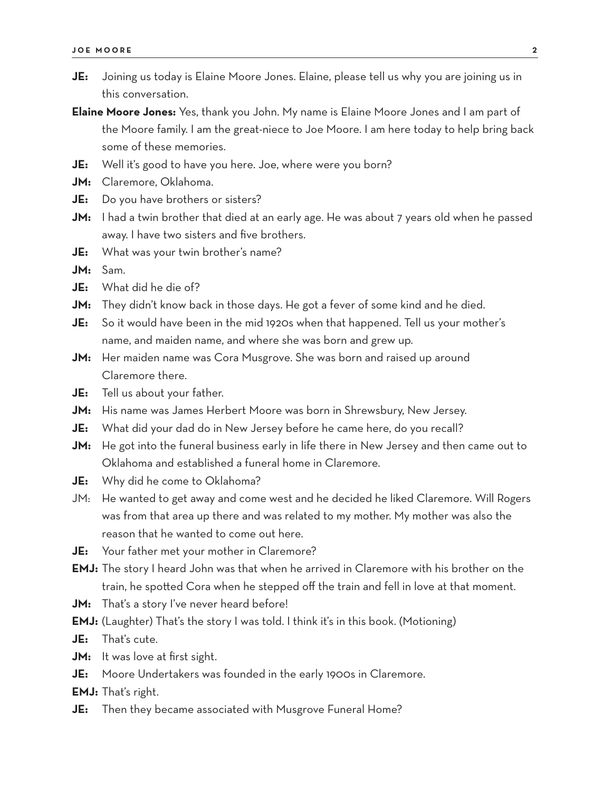- **JE:** Joining us today is Elaine Moore Jones. Elaine, please tell us why you are joining us in this conversation.
- **Elaine Moore Jones:** Yes, thank you John. My name is Elaine Moore Jones and I am part of the Moore family. I am the great-niece to Joe Moore. I am here today to help bring back some of these memories.
- **JE:** Well it's good to have you here. Joe, where were you born?
- **JM:** Claremore, Oklahoma.
- **JE:** Do you have brothers or sisters?
- **JM:** I had a twin brother that died at an early age. He was about 7 years old when he passed away. I have two sisters and five brothers.
- **JE:** What was your twin brother's name?

**JM:** Sam.

- **JE:** What did he die of?
- **JM:** They didn't know back in those days. He got a fever of some kind and he died.
- **JE:** So it would have been in the mid 1920s when that happened. Tell us your mother's name, and maiden name, and where she was born and grew up.
- **JM:** Her maiden name was Cora Musgrove. She was born and raised up around Claremore there.
- **JE:** Tell us about your father.
- **JM:** His name was James Herbert Moore was born in Shrewsbury, New Jersey.
- **JE:** What did your dad do in New Jersey before he came here, do you recall?
- **JM:** He got into the funeral business early in life there in New Jersey and then came out to Oklahoma and established a funeral home in Claremore.
- **JE:** Why did he come to Oklahoma?
- JM: He wanted to get away and come west and he decided he liked Claremore. Will Rogers was from that area up there and was related to my mother. My mother was also the reason that he wanted to come out here.
- **JE:** Your father met your mother in Claremore?
- **EMJ:** The story I heard John was that when he arrived in Claremore with his brother on the train, he spotted Cora when he stepped off the train and fell in love at that moment.
- **JM:** That's a story I've never heard before!
- **EMJ:** (Laughter) That's the story I was told. I think it's in this book. (Motioning)
- **JE:** That's cute.
- **JM:** It was love at first sight.
- **JE:** Moore Undertakers was founded in the early 1900s in Claremore.

**EMJ:** That's right.

**JE:** Then they became associated with Musgrove Funeral Home?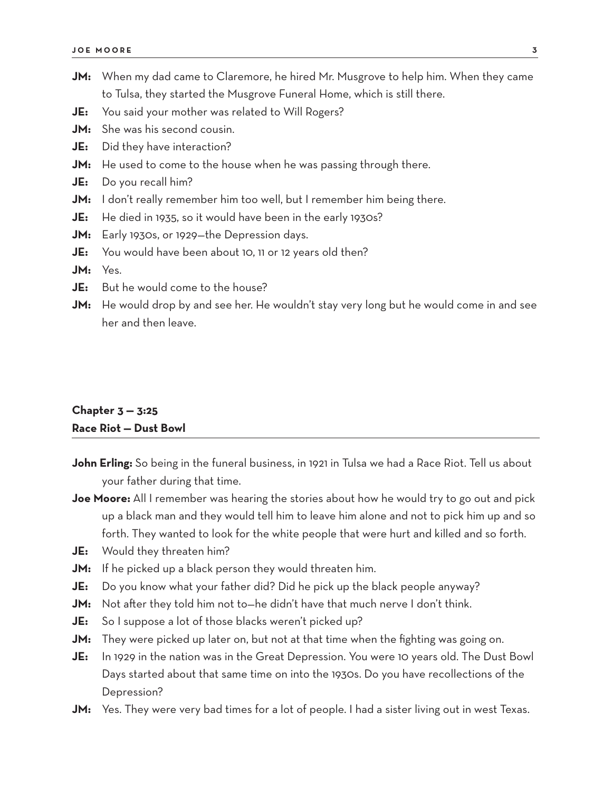- **JM:** When my dad came to Claremore, he hired Mr. Musgrove to help him. When they came to Tulsa, they started the Musgrove Funeral Home, which is still there.
- **JE:** You said your mother was related to Will Rogers?
- **JM:** She was his second cousin.
- **JE:** Did they have interaction?
- **JM:** He used to come to the house when he was passing through there.
- **JE:** Do you recall him?
- **JM:** I don't really remember him too well, but I remember him being there.
- **JE:** He died in 1935, so it would have been in the early 1930s?
- **JM:** Early 1930s, or 1929—the Depression days.
- **JE:** You would have been about 10, 11 or 12 years old then?
- **JM:** Yes.
- **JE:** But he would come to the house?
- **JM:** He would drop by and see her. He wouldn't stay very long but he would come in and see her and then leave.

## **Chapter 3 — 3:25 Race Riot — Dust Bowl**

- **John Erling:** So being in the funeral business, in 1921 in Tulsa we had a Race Riot. Tell us about your father during that time.
- **Joe Moore:** All I remember was hearing the stories about how he would try to go out and pick up a black man and they would tell him to leave him alone and not to pick him up and so forth. They wanted to look for the white people that were hurt and killed and so forth.
- **JE:** Would they threaten him?
- **JM:** If he picked up a black person they would threaten him.
- **JE:** Do you know what your father did? Did he pick up the black people anyway?
- **JM:** Not after they told him not to—he didn't have that much nerve I don't think.
- **JE:** So I suppose a lot of those blacks weren't picked up?
- **JM:** They were picked up later on, but not at that time when the fighting was going on.
- **JE:** In 1929 in the nation was in the Great Depression. You were 10 years old. The Dust Bowl Days started about that same time on into the 1930s. Do you have recollections of the Depression?
- **JM:** Yes. They were very bad times for a lot of people. I had a sister living out in west Texas.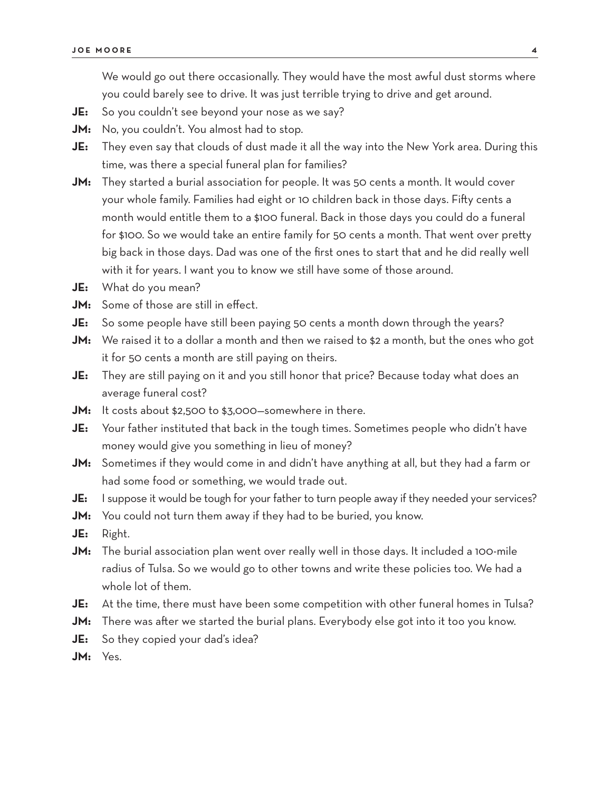We would go out there occasionally. They would have the most awful dust storms where you could barely see to drive. It was just terrible trying to drive and get around.

- **JE:** So you couldn't see beyond your nose as we say?
- **JM:** No, you couldn't. You almost had to stop.
- **JE:** They even say that clouds of dust made it all the way into the New York area. During this time, was there a special funeral plan for families?
- **JM:** They started a burial association for people. It was 50 cents a month. It would cover your whole family. Families had eight or 10 children back in those days. Fifty cents a month would entitle them to a \$100 funeral. Back in those days you could do a funeral for \$100. So we would take an entire family for 50 cents a month. That went over pretty big back in those days. Dad was one of the first ones to start that and he did really well with it for years. I want you to know we still have some of those around.
- **JE:** What do you mean?
- **JM:** Some of those are still in effect.
- **JE:** So some people have still been paying 50 cents a month down through the years?
- **JM:** We raised it to a dollar a month and then we raised to \$2 a month, but the ones who got it for 50 cents a month are still paying on theirs.
- **JE:** They are still paying on it and you still honor that price? Because today what does an average funeral cost?
- **JM:** It costs about \$2,500 to \$3,000—somewhere in there.
- **JE:** Your father instituted that back in the tough times. Sometimes people who didn't have money would give you something in lieu of money?
- **JM:** Sometimes if they would come in and didn't have anything at all, but they had a farm or had some food or something, we would trade out.
- **JE:** I suppose it would be tough for your father to turn people away if they needed your services?
- **JM:** You could not turn them away if they had to be buried, you know.
- **JE:** Right.
- **JM:** The burial association plan went over really well in those days. It included a 100-mile radius of Tulsa. So we would go to other towns and write these policies too. We had a whole lot of them.
- **JE:** At the time, there must have been some competition with other funeral homes in Tulsa?
- **JM:** There was after we started the burial plans. Everybody else got into it too you know.
- **JE:** So they copied your dad's idea?
- **JM:** Yes.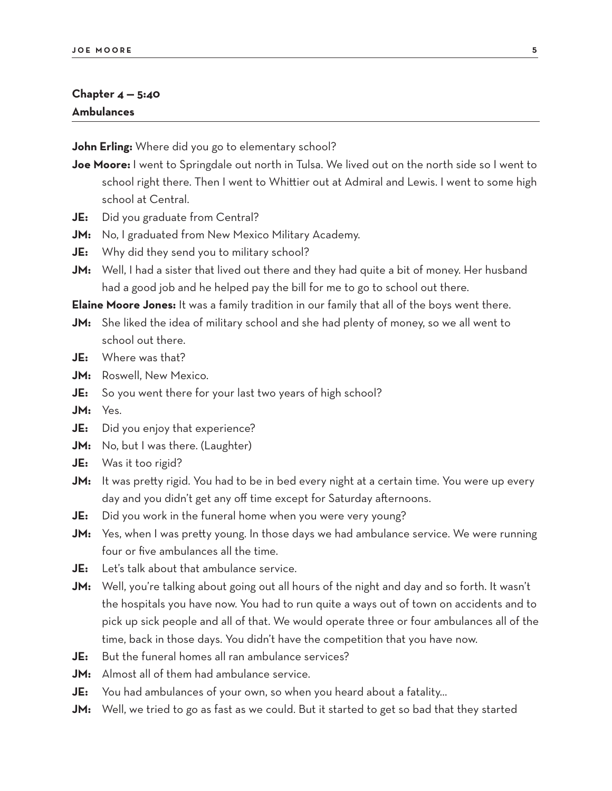#### **Chapter 4 — 5:40 Ambulances**

**John Erling:** Where did you go to elementary school?

- **Joe Moore:** I went to Springdale out north in Tulsa. We lived out on the north side so I went to school right there. Then I went to Whittier out at Admiral and Lewis. I went to some high school at Central.
- **JE:** Did you graduate from Central?
- **JM:** No, I graduated from New Mexico Military Academy.
- **JE:** Why did they send you to military school?
- **JM:** Well, I had a sister that lived out there and they had quite a bit of money. Her husband had a good job and he helped pay the bill for me to go to school out there.

**Elaine Moore Jones:** It was a family tradition in our family that all of the boys went there.

- **JM:** She liked the idea of military school and she had plenty of money, so we all went to school out there.
- **JE:** Where was that?
- **JM:** Roswell, New Mexico.
- **JE:** So you went there for your last two years of high school?
- **JM:** Yes.
- **JE:** Did you enjoy that experience?
- **JM:** No, but I was there. (Laughter)
- **JE:** Was it too rigid?
- **JM:** It was pretty rigid. You had to be in bed every night at a certain time. You were up every day and you didn't get any off time except for Saturday afternoons.
- **JE:** Did you work in the funeral home when you were very young?
- **JM:** Yes, when I was pretty young. In those days we had ambulance service. We were running four or five ambulances all the time.
- **JE:** Let's talk about that ambulance service.
- **JM:** Well, you're talking about going out all hours of the night and day and so forth. It wasn't the hospitals you have now. You had to run quite a ways out of town on accidents and to pick up sick people and all of that. We would operate three or four ambulances all of the time, back in those days. You didn't have the competition that you have now.
- **JE:** But the funeral homes all ran ambulance services?
- **JM:** Almost all of them had ambulance service.
- **JE:** You had ambulances of your own, so when you heard about a fatality…
- **JM:** Well, we tried to go as fast as we could. But it started to get so bad that they started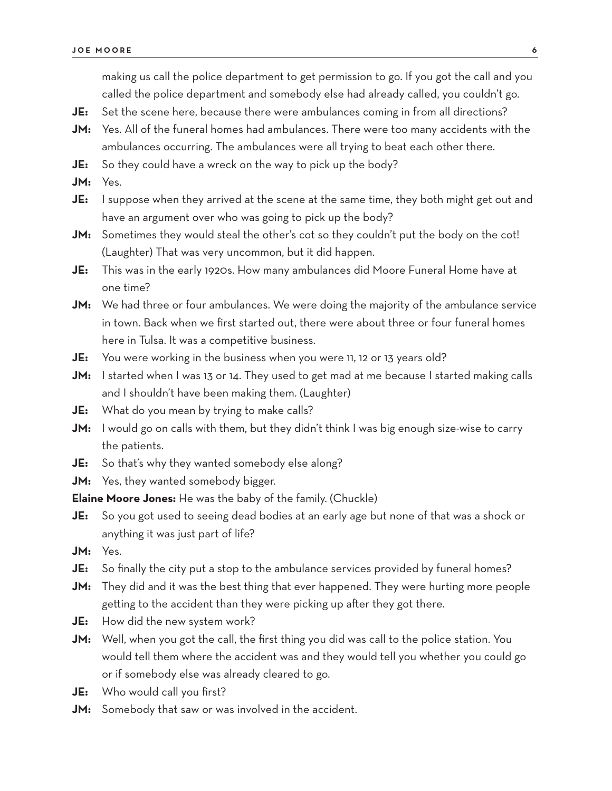making us call the police department to get permission to go. If you got the call and you called the police department and somebody else had already called, you couldn't go.

- **JE:** Set the scene here, because there were ambulances coming in from all directions?
- **JM:** Yes. All of the funeral homes had ambulances. There were too many accidents with the ambulances occurring. The ambulances were all trying to beat each other there.
- **JE:** So they could have a wreck on the way to pick up the body?
- **JM:** Yes.
- **JE:** I suppose when they arrived at the scene at the same time, they both might get out and have an argument over who was going to pick up the body?
- **JM:** Sometimes they would steal the other's cot so they couldn't put the body on the cot! (Laughter) That was very uncommon, but it did happen.
- **JE:** This was in the early 1920s. How many ambulances did Moore Funeral Home have at one time?
- **JM:** We had three or four ambulances. We were doing the majority of the ambulance service in town. Back when we first started out, there were about three or four funeral homes here in Tulsa. It was a competitive business.
- **JE:** You were working in the business when you were 11, 12 or 13 years old?
- **JM:** I started when I was 13 or 14. They used to get mad at me because I started making calls and I shouldn't have been making them. (Laughter)
- **JE:** What do you mean by trying to make calls?
- **JM:** I would go on calls with them, but they didn't think I was big enough size-wise to carry the patients.
- **JE:** So that's why they wanted somebody else along?
- **JM:** Yes, they wanted somebody bigger.

**Elaine Moore Jones:** He was the baby of the family. (Chuckle)

- **JE:** So you got used to seeing dead bodies at an early age but none of that was a shock or anything it was just part of life?
- **JM:** Yes.
- **JE:** So finally the city put a stop to the ambulance services provided by funeral homes?
- **JM:** They did and it was the best thing that ever happened. They were hurting more people getting to the accident than they were picking up after they got there.
- **JE:** How did the new system work?
- **JM:** Well, when you got the call, the first thing you did was call to the police station. You would tell them where the accident was and they would tell you whether you could go or if somebody else was already cleared to go.
- **JE:** Who would call you first?
- **JM:** Somebody that saw or was involved in the accident.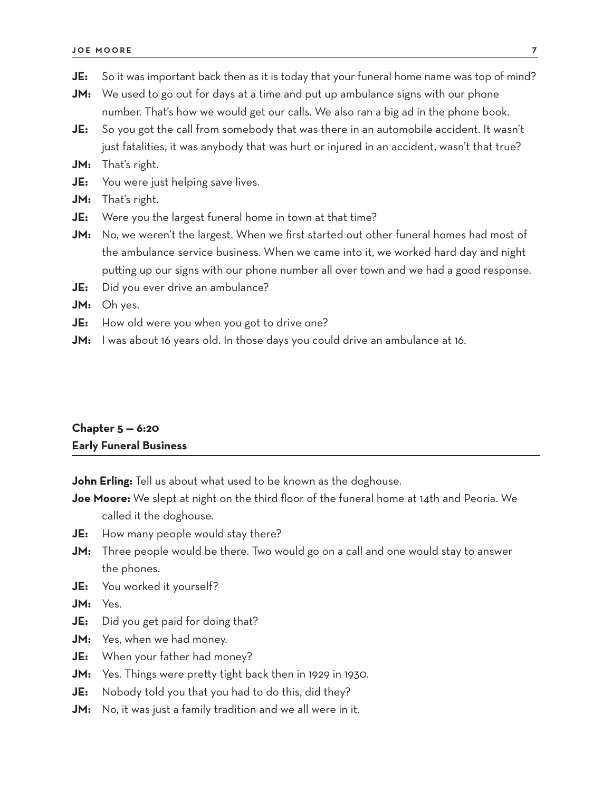- **JM:** We used to go out for days at a time and put up ambulance signs with our phone number. That's how we would get our calls. We also ran a big ad in the phone book.
- **JE:** So you got the call from somebody that was there in an automobile accident. It wasn't just fatalities, it was anybody that was hurt or injured in an accident, wasn't that true?
- **JM:** That's right.
- **JE:** You were just helping save lives.
- **JM:** That's right.
- **JE:** Were you the largest funeral home in town at that time?
- **JM:** No, we weren't the largest. When we first started out other funeral homes had most of the ambulance service business. When we came into it, we worked hard day and night putting up our signs with our phone number all over town and we had a good response.
- **JE:** Did you ever drive an ambulance?
- **JM:** Oh yes.
- **JE:** How old were you when you got to drive one?
- **JM:** I was about 16 years old. In those days you could drive an ambulance at 16.

## **Chapter 5 — 6:20 Early Funeral Business**

**John Erling:** Tell us about what used to be known as the doghouse.

- **Joe Moore:** We slept at night on the third floor of the funeral home at 14th and Peoria. We called it the doghouse.
- **JE:** How many people would stay there?
- **JM:** Three people would be there. Two would go on a call and one would stay to answer the phones.
- **JE:** You worked it yourself?

**JM:** Yes.

- **JE:** Did you get paid for doing that?
- **JM:** Yes, when we had money.
- **JE:** When your father had money?
- **JM:** Yes. Things were pretty tight back then in 1929 in 1930.
- **JE:** Nobody told you that you had to do this, did they?
- **JM:** No, it was just a family tradition and we all were in it.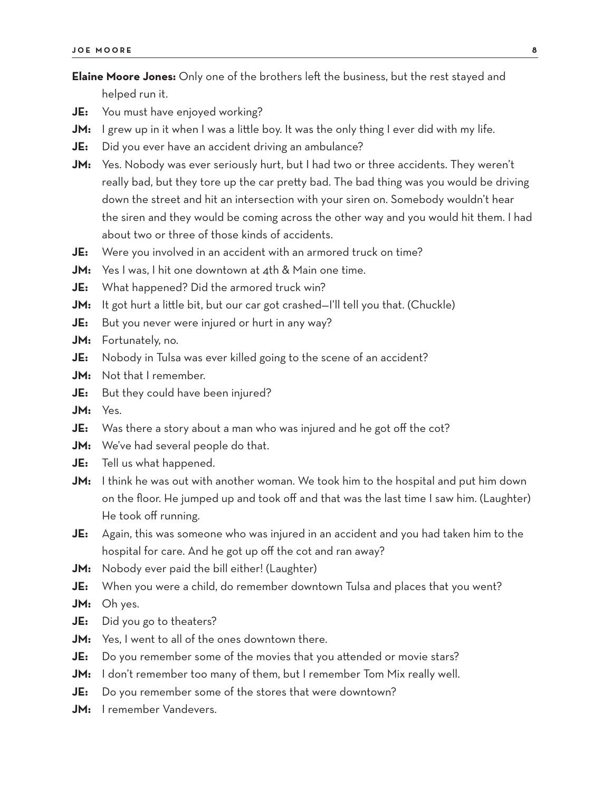**Elaine Moore Jones:** Only one of the brothers left the business, but the rest stayed and helped run it.

**JE:** You must have enjoyed working?

- **JM:** I grew up in it when I was a little boy. It was the only thing I ever did with my life.
- **JE:** Did you ever have an accident driving an ambulance?
- JM: Yes. Nobody was ever seriously hurt, but I had two or three accidents. They weren't really bad, but they tore up the car pretty bad. The bad thing was you would be driving down the street and hit an intersection with your siren on. Somebody wouldn't hear the siren and they would be coming across the other way and you would hit them. I had about two or three of those kinds of accidents.
- **JE:** Were you involved in an accident with an armored truck on time?
- **JM:** Yes I was, I hit one downtown at 4th & Main one time.
- **JE:** What happened? Did the armored truck win?
- **JM:** It got hurt a little bit, but our car got crashed-I'll tell you that. (Chuckle)
- **JE:** But you never were injured or hurt in any way?
- **JM:** Fortunately, no.
- **JE:** Nobody in Tulsa was ever killed going to the scene of an accident?
- **JM:** Not that I remember.
- **JE:** But they could have been injured?
- **JM:** Yes.
- **JE:** Was there a story about a man who was injured and he got off the cot?
- **JM:** We've had several people do that.
- **JE:** Tell us what happened.
- **JM:** I think he was out with another woman. We took him to the hospital and put him down on the floor. He jumped up and took off and that was the last time I saw him. (Laughter) He took off running.
- **JE:** Again, this was someone who was injured in an accident and you had taken him to the hospital for care. And he got up off the cot and ran away?
- **JM:** Nobody ever paid the bill either! (Laughter)
- **JE:** When you were a child, do remember downtown Tulsa and places that you went?

**JM:** Oh yes.

- **JE:** Did you go to theaters?
- **JM:** Yes, I went to all of the ones downtown there.
- **JE:** Do you remember some of the movies that you attended or movie stars?
- **JM:** I don't remember too many of them, but I remember Tom Mix really well.
- **JE:** Do you remember some of the stores that were downtown?
- **JM:** I remember Vandevers.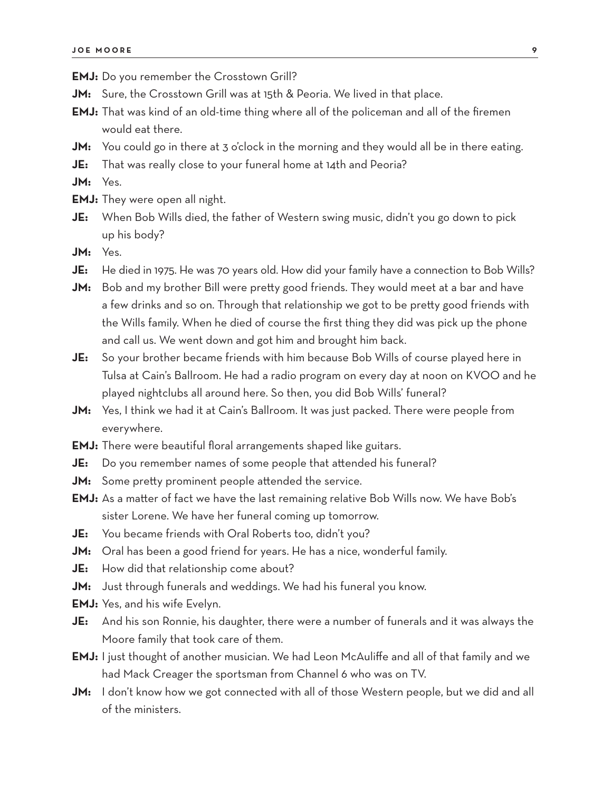**EMJ:** Do you remember the Crosstown Grill?

- **JM:** Sure, the Crosstown Grill was at 15th & Peoria. We lived in that place.
- **EMJ:** That was kind of an old-time thing where all of the policeman and all of the firemen would eat there.
- **JM:** You could go in there at 3 o'clock in the morning and they would all be in there eating.
- **JE:** That was really close to your funeral home at 14th and Peoria?

**JM:** Yes.

- **EMJ:** They were open all night.
- **JE:** When Bob Wills died, the father of Western swing music, didn't you go down to pick up his body?
- **JM:** Yes.
- **JE:** He died in 1975. He was 70 years old. How did your family have a connection to Bob Wills?
- **JM:** Bob and my brother Bill were pretty good friends. They would meet at a bar and have a few drinks and so on. Through that relationship we got to be pretty good friends with the Wills family. When he died of course the first thing they did was pick up the phone and call us. We went down and got him and brought him back.
- **JE:** So your brother became friends with him because Bob Wills of course played here in Tulsa at Cain's Ballroom. He had a radio program on every day at noon on KVOO and he played nightclubs all around here. So then, you did Bob Wills' funeral?
- **JM:** Yes, I think we had it at Cain's Ballroom. It was just packed. There were people from everywhere.
- **EMJ:** There were beautiful floral arrangements shaped like guitars.
- **JE:** Do you remember names of some people that attended his funeral?
- **JM:** Some pretty prominent people attended the service.
- **EMJ:** As a matter of fact we have the last remaining relative Bob Wills now. We have Bob's sister Lorene. We have her funeral coming up tomorrow.
- **JE:** You became friends with Oral Roberts too, didn't you?
- **JM:** Oral has been a good friend for years. He has a nice, wonderful family.
- **JE:** How did that relationship come about?
- **JM:** Just through funerals and weddings. We had his funeral you know.
- **EMJ:** Yes, and his wife Evelyn.
- **JE:** And his son Ronnie, his daughter, there were a number of funerals and it was always the Moore family that took care of them.
- **EMJ:** I just thought of another musician. We had Leon McAuliffe and all of that family and we had Mack Creager the sportsman from Channel 6 who was on TV.
- **JM:** I don't know how we got connected with all of those Western people, but we did and all of the ministers.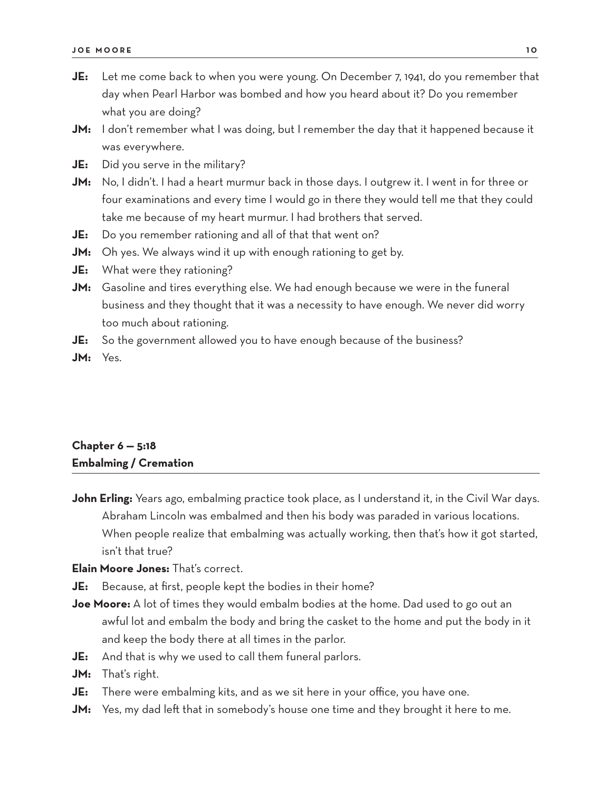- **JE:** Let me come back to when you were young. On December 7, 1941, do you remember that day when Pearl Harbor was bombed and how you heard about it? Do you remember what you are doing?
- **JM:** I don't remember what I was doing, but I remember the day that it happened because it was everywhere.
- **JE:** Did you serve in the military?
- **JM:** No, I didn't. I had a heart murmur back in those days. I outgrew it. I went in for three or four examinations and every time I would go in there they would tell me that they could take me because of my heart murmur. I had brothers that served.
- **JE:** Do you remember rationing and all of that that went on?
- **JM:** Oh yes. We always wind it up with enough rationing to get by.
- **JE:** What were they rationing?
- **JM:** Gasoline and tires everything else. We had enough because we were in the funeral business and they thought that it was a necessity to have enough. We never did worry too much about rationing.
- **JE:** So the government allowed you to have enough because of the business?
- **JM:** Yes.

## **Chapter 6 — 5:18 Embalming / Cremation**

**John Erling:** Years ago, embalming practice took place, as I understand it, in the Civil War days. Abraham Lincoln was embalmed and then his body was paraded in various locations. When people realize that embalming was actually working, then that's how it got started, isn't that true?

**Elain Moore Jones:** That's correct.

- **JE:** Because, at first, people kept the bodies in their home?
- **Joe Moore:** A lot of times they would embalm bodies at the home. Dad used to go out an awful lot and embalm the body and bring the casket to the home and put the body in it and keep the body there at all times in the parlor.
- **JE:** And that is why we used to call them funeral parlors.
- **JM:** That's right.
- **JE:** There were embalming kits, and as we sit here in your office, you have one.
- **JM:** Yes, my dad left that in somebody's house one time and they brought it here to me.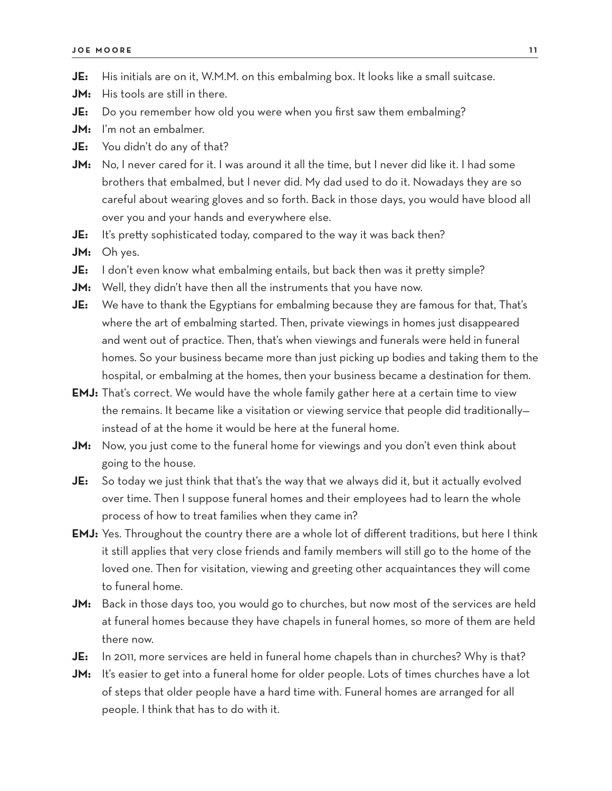- **JE:** His initials are on it, W.M.M. on this embalming box. It looks like a small suitcase.
- **JM:** His tools are still in there.
- **JE:** Do you remember how old you were when you first saw them embalming?
- **JM:** I'm not an embalmer.
- **JE:** You didn't do any of that?

**JM:** No, I never cared for it. I was around it all the time, but I never did like it. I had some brothers that embalmed, but I never did. My dad used to do it. Nowadays they are so careful about wearing gloves and so forth. Back in those days, you would have blood all over you and your hands and everywhere else.

- **JE:** It's pretty sophisticated today, compared to the way it was back then?
- **JM:** Oh yes.
- **JE:** I don't even know what embalming entails, but back then was it pretty simple?
- **JM:** Well, they didn't have then all the instruments that you have now.
- **JE:** We have to thank the Egyptians for embalming because they are famous for that, That's where the art of embalming started. Then, private viewings in homes just disappeared and went out of practice. Then, that's when viewings and funerals were held in funeral homes. So your business became more than just picking up bodies and taking them to the hospital, or embalming at the homes, then your business became a destination for them.
- **EMJ:** That's correct. We would have the whole family gather here at a certain time to view the remains. It became like a visitation or viewing service that people did traditionally instead of at the home it would be here at the funeral home.
- **JM:** Now, you just come to the funeral home for viewings and you don't even think about going to the house.
- **JE:** So today we just think that that's the way that we always did it, but it actually evolved over time. Then I suppose funeral homes and their employees had to learn the whole process of how to treat families when they came in?
- **EMJ:** Yes. Throughout the country there are a whole lot of different traditions, but here I think it still applies that very close friends and family members will still go to the home of the loved one. Then for visitation, viewing and greeting other acquaintances they will come to funeral home.
- **JM:** Back in those days too, you would go to churches, but now most of the services are held at funeral homes because they have chapels in funeral homes, so more of them are held there now.
- **JE:** In 2011, more services are held in funeral home chapels than in churches? Why is that?
- **JM:** It's easier to get into a funeral home for older people. Lots of times churches have a lot of steps that older people have a hard time with. Funeral homes are arranged for all people. I think that has to do with it.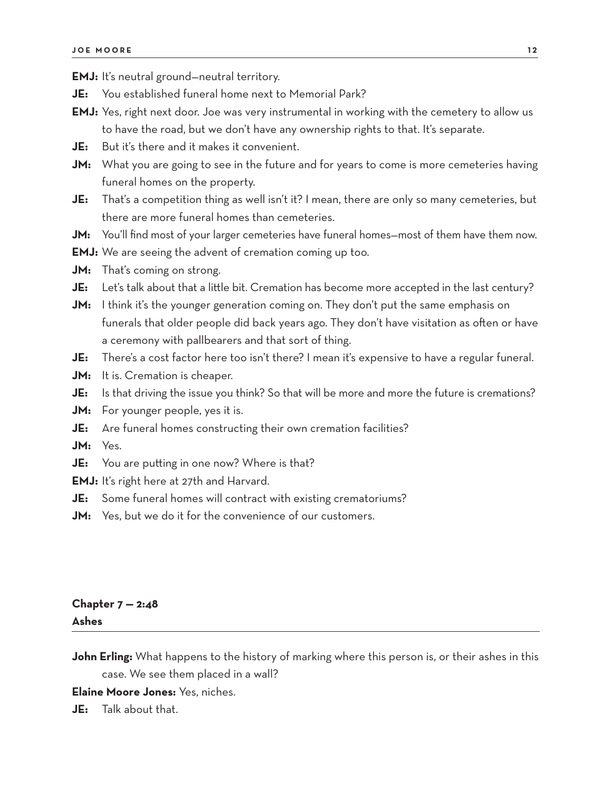**EMJ:** It's neutral ground—neutral territory.

- **JE:** You established funeral home next to Memorial Park?
- **EMJ:** Yes, right next door. Joe was very instrumental in working with the cemetery to allow us to have the road, but we don't have any ownership rights to that. It's separate.
- **JE:** But it's there and it makes it convenient.
- **JM:** What you are going to see in the future and for years to come is more cemeteries having funeral homes on the property.
- **JE:** That's a competition thing as well isn't it? I mean, there are only so many cemeteries, but there are more funeral homes than cemeteries.
- **JM:** You'll find most of your larger cemeteries have funeral homes—most of them have them now.
- **EMJ:** We are seeing the advent of cremation coming up too.
- **JM:** That's coming on strong.
- **JE:** Let's talk about that a little bit. Cremation has become more accepted in the last century?
- **JM:** I think it's the younger generation coming on. They don't put the same emphasis on funerals that older people did back years ago. They don't have visitation as often or have a ceremony with pallbearers and that sort of thing.
- **JE:** There's a cost factor here too isn't there? I mean it's expensive to have a regular funeral.
- **JM:** It is. Cremation is cheaper.
- JE: Is that driving the issue you think? So that will be more and more the future is cremations?
- **JM:** For younger people, yes it is.
- **JE:** Are funeral homes constructing their own cremation facilities?
- **JM:** Yes.
- **JE:** You are putting in one now? Where is that?
- **EMJ:** It's right here at 27th and Harvard.
- **JE:** Some funeral homes will contract with existing crematoriums?
- **JM:** Yes, but we do it for the convenience of our customers.

## **Chapter 7 — 2:48 Ashes**

**John Erling:** What happens to the history of marking where this person is, or their ashes in this case. We see them placed in a wall?

#### **Elaine Moore Jones:** Yes, niches.

**JE:** Talk about that.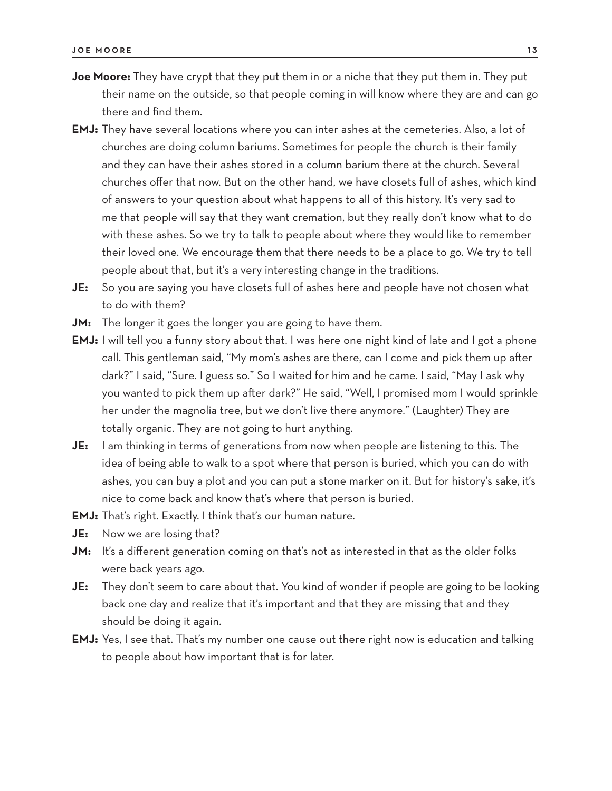- **Joe Moore:** They have crypt that they put them in or a niche that they put them in. They put their name on the outside, so that people coming in will know where they are and can go there and find them.
- **EMJ:** They have several locations where you can inter ashes at the cemeteries. Also, a lot of churches are doing column bariums. Sometimes for people the church is their family and they can have their ashes stored in a column barium there at the church. Several churches offer that now. But on the other hand, we have closets full of ashes, which kind of answers to your question about what happens to all of this history. It's very sad to me that people will say that they want cremation, but they really don't know what to do with these ashes. So we try to talk to people about where they would like to remember their loved one. We encourage them that there needs to be a place to go. We try to tell people about that, but it's a very interesting change in the traditions.
- **JE:** So you are saying you have closets full of ashes here and people have not chosen what to do with them?
- **JM:** The longer it goes the longer you are going to have them.
- **EMJ:** I will tell you a funny story about that. I was here one night kind of late and I got a phone call. This gentleman said, "My mom's ashes are there, can I come and pick them up after dark?" I said, "Sure. I guess so." So I waited for him and he came. I said, "May I ask why you wanted to pick them up after dark?" He said, "Well, I promised mom I would sprinkle her under the magnolia tree, but we don't live there anymore." (Laughter) They are totally organic. They are not going to hurt anything.
- **JE:** I am thinking in terms of generations from now when people are listening to this. The idea of being able to walk to a spot where that person is buried, which you can do with ashes, you can buy a plot and you can put a stone marker on it. But for history's sake, it's nice to come back and know that's where that person is buried.
- **EMJ:** That's right. Exactly. I think that's our human nature.
- **JE:** Now we are losing that?
- **JM:** It's a different generation coming on that's not as interested in that as the older folks were back years ago.
- **JE:** They don't seem to care about that. You kind of wonder if people are going to be looking back one day and realize that it's important and that they are missing that and they should be doing it again.
- **EMJ:** Yes, I see that. That's my number one cause out there right now is education and talking to people about how important that is for later.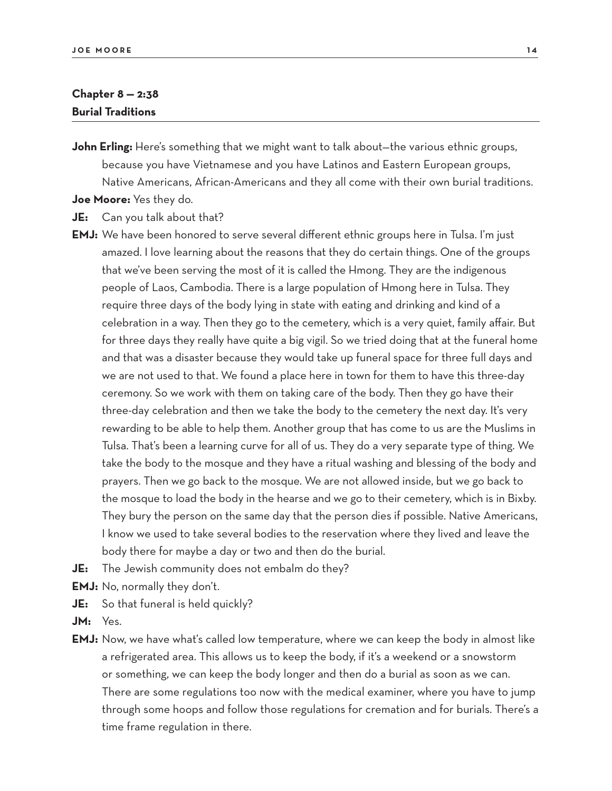### **Chapter 8 — 2:38 Burial Traditions**

**John Erling:** Here's something that we might want to talk about—the various ethnic groups, because you have Vietnamese and you have Latinos and Eastern European groups, Native Americans, African-Americans and they all come with their own burial traditions.

**Joe Moore:** Yes they do.

**JE:** Can you talk about that?

- **EMJ:** We have been honored to serve several different ethnic groups here in Tulsa. I'm just amazed. I love learning about the reasons that they do certain things. One of the groups that we've been serving the most of it is called the Hmong. They are the indigenous people of Laos, Cambodia. There is a large population of Hmong here in Tulsa. They require three days of the body lying in state with eating and drinking and kind of a celebration in a way. Then they go to the cemetery, which is a very quiet, family affair. But for three days they really have quite a big vigil. So we tried doing that at the funeral home and that was a disaster because they would take up funeral space for three full days and we are not used to that. We found a place here in town for them to have this three-day ceremony. So we work with them on taking care of the body. Then they go have their three-day celebration and then we take the body to the cemetery the next day. It's very rewarding to be able to help them. Another group that has come to us are the Muslims in Tulsa. That's been a learning curve for all of us. They do a very separate type of thing. We take the body to the mosque and they have a ritual washing and blessing of the body and prayers. Then we go back to the mosque. We are not allowed inside, but we go back to the mosque to load the body in the hearse and we go to their cemetery, which is in Bixby. They bury the person on the same day that the person dies if possible. Native Americans, I know we used to take several bodies to the reservation where they lived and leave the body there for maybe a day or two and then do the burial.
- **JE:** The Jewish community does not embalm do they?

**EMJ:** No, normally they don't.

**JE:** So that funeral is held quickly?

- **JM:** Yes.
- **EMJ:** Now, we have what's called low temperature, where we can keep the body in almost like a refrigerated area. This allows us to keep the body, if it's a weekend or a snowstorm or something, we can keep the body longer and then do a burial as soon as we can. There are some regulations too now with the medical examiner, where you have to jump through some hoops and follow those regulations for cremation and for burials. There's a time frame regulation in there.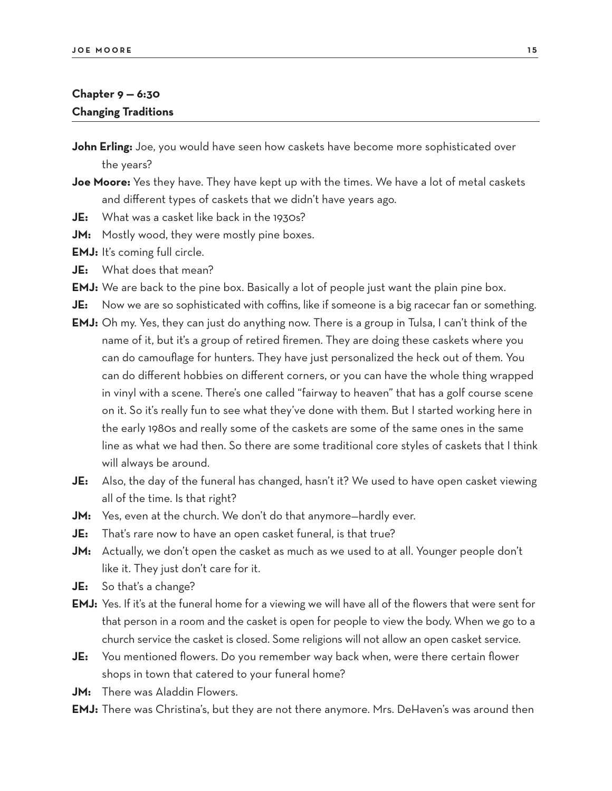## **Chapter 9 — 6:30 Changing Traditions**

**John Erling:** Joe, you would have seen how caskets have become more sophisticated over the years?

- **Joe Moore:** Yes they have. They have kept up with the times. We have a lot of metal caskets and different types of caskets that we didn't have years ago.
- **JE:** What was a casket like back in the 1930s?
- **JM:** Mostly wood, they were mostly pine boxes.

**EMJ:** It's coming full circle.

**JE:** What does that mean?

**EMJ:** We are back to the pine box. Basically a lot of people just want the plain pine box.

**JE:** Now we are so sophisticated with coffins, like if someone is a big racecar fan or something.

- **EMJ:** Oh my. Yes, they can just do anything now. There is a group in Tulsa, I can't think of the name of it, but it's a group of retired firemen. They are doing these caskets where you can do camouflage for hunters. They have just personalized the heck out of them. You can do different hobbies on different corners, or you can have the whole thing wrapped in vinyl with a scene. There's one called "fairway to heaven" that has a golf course scene on it. So it's really fun to see what they've done with them. But I started working here in the early 1980s and really some of the caskets are some of the same ones in the same line as what we had then. So there are some traditional core styles of caskets that I think will always be around.
- **JE:** Also, the day of the funeral has changed, hasn't it? We used to have open casket viewing all of the time. Is that right?
- **JM:** Yes, even at the church. We don't do that anymore—hardly ever.
- **JE:** That's rare now to have an open casket funeral, is that true?
- **JM:** Actually, we don't open the casket as much as we used to at all. Younger people don't like it. They just don't care for it.
- **JE:** So that's a change?
- **EMJ:** Yes. If it's at the funeral home for a viewing we will have all of the flowers that were sent for that person in a room and the casket is open for people to view the body. When we go to a church service the casket is closed. Some religions will not allow an open casket service.
- **JE:** You mentioned flowers. Do you remember way back when, were there certain flower shops in town that catered to your funeral home?
- **JM:** There was Aladdin Flowers.
- **EMJ:** There was Christina's, but they are not there anymore. Mrs. DeHaven's was around then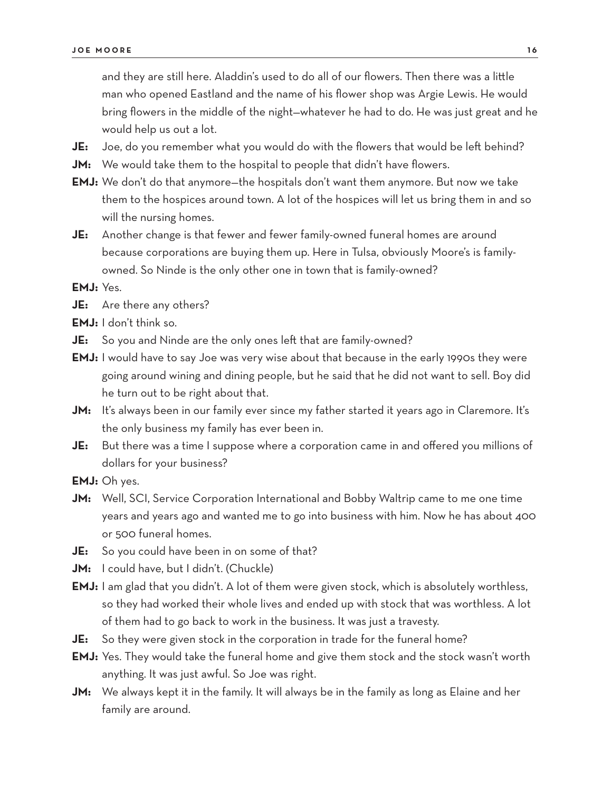and they are still here. Aladdin's used to do all of our flowers. Then there was a little man who opened Eastland and the name of his flower shop was Argie Lewis. He would bring flowers in the middle of the night—whatever he had to do. He was just great and he would help us out a lot.

- **JE:** Joe, do you remember what you would do with the flowers that would be left behind?
- **JM:** We would take them to the hospital to people that didn't have flowers.
- **EMJ:** We don't do that anymore—the hospitals don't want them anymore. But now we take them to the hospices around town. A lot of the hospices will let us bring them in and so will the nursing homes.
- **JE:** Another change is that fewer and fewer family-owned funeral homes are around because corporations are buying them up. Here in Tulsa, obviously Moore's is familyowned. So Ninde is the only other one in town that is family-owned?

#### **EMJ:** Yes.

- **JE:** Are there any others?
- **EMJ:** I don't think so.
- **JE:** So you and Ninde are the only ones left that are family-owned?
- **EMJ:** I would have to say Joe was very wise about that because in the early 1990s they were going around wining and dining people, but he said that he did not want to sell. Boy did he turn out to be right about that.
- **JM:** It's always been in our family ever since my father started it years ago in Claremore. It's the only business my family has ever been in.
- **JE:** But there was a time I suppose where a corporation came in and offered you millions of dollars for your business?
- **EMJ:** Oh yes.
- **JM:** Well, SCI, Service Corporation International and Bobby Waltrip came to me one time years and years ago and wanted me to go into business with him. Now he has about 400 or 500 funeral homes.
- **JE:** So you could have been in on some of that?
- JM: I could have, but I didn't. (Chuckle)
- **EMJ:** I am glad that you didn't. A lot of them were given stock, which is absolutely worthless, so they had worked their whole lives and ended up with stock that was worthless. A lot of them had to go back to work in the business. It was just a travesty.
- **JE:** So they were given stock in the corporation in trade for the funeral home?
- **EMJ:** Yes. They would take the funeral home and give them stock and the stock wasn't worth anything. It was just awful. So Joe was right.
- **JM:** We always kept it in the family. It will always be in the family as long as Elaine and her family are around.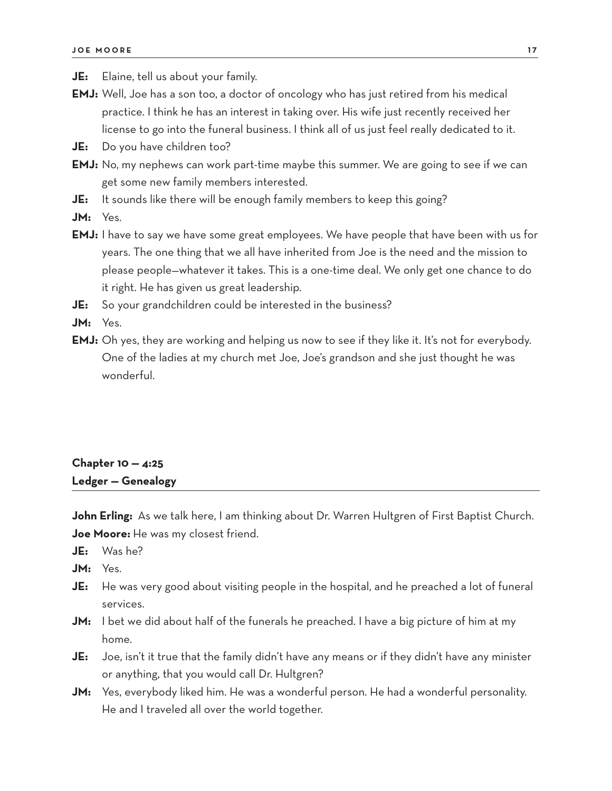**JE:** Elaine, tell us about your family.

- **EMJ:** Well, Joe has a son too, a doctor of oncology who has just retired from his medical practice. I think he has an interest in taking over. His wife just recently received her license to go into the funeral business. I think all of us just feel really dedicated to it.
- **JE:** Do you have children too?
- **EMJ:** No, my nephews can work part-time maybe this summer. We are going to see if we can get some new family members interested.
- **JE:** It sounds like there will be enough family members to keep this going?
- **JM:** Yes.
- **EMJ:** I have to say we have some great employees. We have people that have been with us for years. The one thing that we all have inherited from Joe is the need and the mission to please people—whatever it takes. This is a one-time deal. We only get one chance to do it right. He has given us great leadership.
- **JE:** So your grandchildren could be interested in the business?
- **JM:** Yes.
- **EMJ:** Oh yes, they are working and helping us now to see if they like it. It's not for everybody. One of the ladies at my church met Joe, Joe's grandson and she just thought he was wonderful.

## **Chapter 10 — 4:25 Ledger — Genealogy**

John Erling: As we talk here, I am thinking about Dr. Warren Hultgren of First Baptist Church. **Joe Moore:** He was my closest friend.

- **JE:** Was he?
- **JM:** Yes.
- **JE:** He was very good about visiting people in the hospital, and he preached a lot of funeral services.
- **JM:** I bet we did about half of the funerals he preached. I have a big picture of him at my home.
- **JE:** Joe, isn't it true that the family didn't have any means or if they didn't have any minister or anything, that you would call Dr. Hultgren?
- **JM:** Yes, everybody liked him. He was a wonderful person. He had a wonderful personality. He and I traveled all over the world together.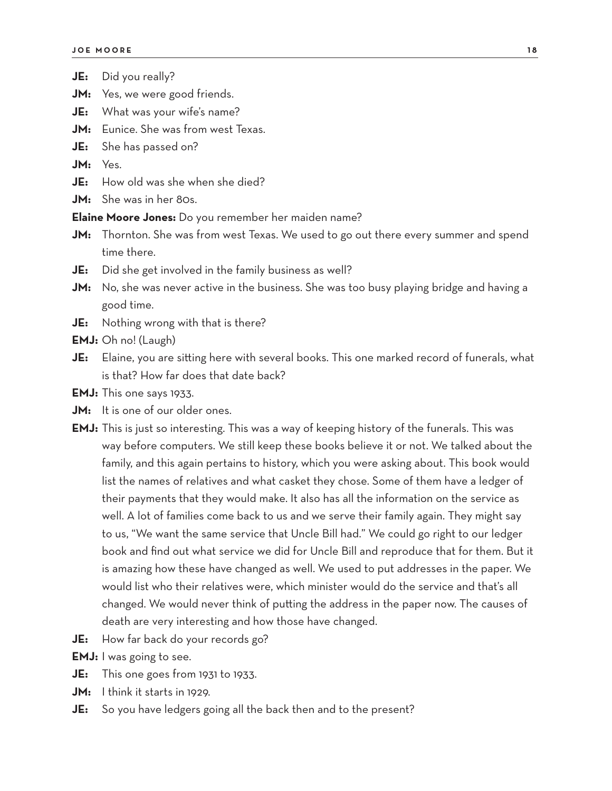- **JM:** Yes, we were good friends.
- **JE:** What was your wife's name?
- **JM:** Eunice. She was from west Texas.
- **JE:** She has passed on?

**JM:** Yes.

- **JE:** How old was she when she died?
- **JM:** She was in her 80s.

**Elaine Moore Jones:** Do you remember her maiden name?

- **JM:** Thornton. She was from west Texas. We used to go out there every summer and spend time there.
- **JE:** Did she get involved in the family business as well?
- **JM:** No, she was never active in the business. She was too busy playing bridge and having a good time.
- **JE:** Nothing wrong with that is there?
- **EMJ:** Oh no! (Laugh)
- **JE:** Elaine, you are sitting here with several books. This one marked record of funerals, what is that? How far does that date back?

**EMJ:** This one says 1933.

- **JM:** It is one of our older ones.
- **EMJ:** This is just so interesting. This was a way of keeping history of the funerals. This was way before computers. We still keep these books believe it or not. We talked about the family, and this again pertains to history, which you were asking about. This book would list the names of relatives and what casket they chose. Some of them have a ledger of their payments that they would make. It also has all the information on the service as well. A lot of families come back to us and we serve their family again. They might say to us, "We want the same service that Uncle Bill had." We could go right to our ledger book and find out what service we did for Uncle Bill and reproduce that for them. But it is amazing how these have changed as well. We used to put addresses in the paper. We would list who their relatives were, which minister would do the service and that's all changed. We would never think of putting the address in the paper now. The causes of death are very interesting and how those have changed.
- **JE:** How far back do your records go?

**EMJ:** I was going to see.

- **JE:** This one goes from 1931 to 1933.
- **JM:** I think it starts in 1929.
- **JE:** So you have ledgers going all the back then and to the present?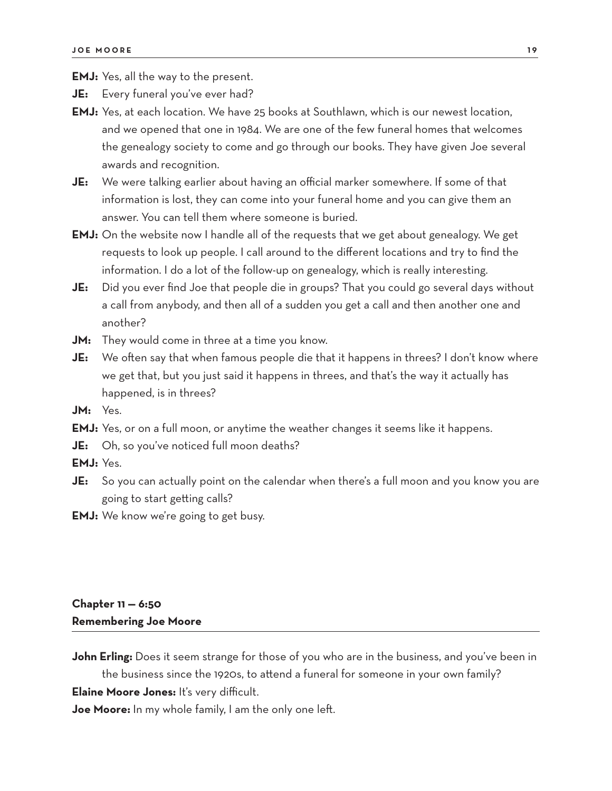**EMJ:** Yes, all the way to the present.

**JE:** Every funeral you've ever had?

- **EMJ:** Yes, at each location. We have 25 books at Southlawn, which is our newest location, and we opened that one in 1984. We are one of the few funeral homes that welcomes the genealogy society to come and go through our books. They have given Joe several awards and recognition.
- **JE:** We were talking earlier about having an official marker somewhere. If some of that information is lost, they can come into your funeral home and you can give them an answer. You can tell them where someone is buried.
- **EMJ:** On the website now I handle all of the requests that we get about genealogy. We get requests to look up people. I call around to the different locations and try to find the information. I do a lot of the follow-up on genealogy, which is really interesting.
- **JE:** Did you ever find Joe that people die in groups? That you could go several days without a call from anybody, and then all of a sudden you get a call and then another one and another?
- **JM:** They would come in three at a time you know.
- **JE:** We often say that when famous people die that it happens in threes? I don't know where we get that, but you just said it happens in threes, and that's the way it actually has happened, is in threes?
- **JM:** Yes.
- **EMJ:** Yes, or on a full moon, or anytime the weather changes it seems like it happens.
- **JE:** Oh, so you've noticed full moon deaths?
- **EMJ:** Yes.
- **JE:** So you can actually point on the calendar when there's a full moon and you know you are going to start getting calls?
- **EMJ:** We know we're going to get busy.

## **Chapter 11 — 6:50 Remembering Joe Moore**

**John Erling:** Does it seem strange for those of you who are in the business, and you've been in the business since the 1920s, to attend a funeral for someone in your own family?

**Elaine Moore Jones:** It's very difficult.

**Joe Moore:** In my whole family, I am the only one left.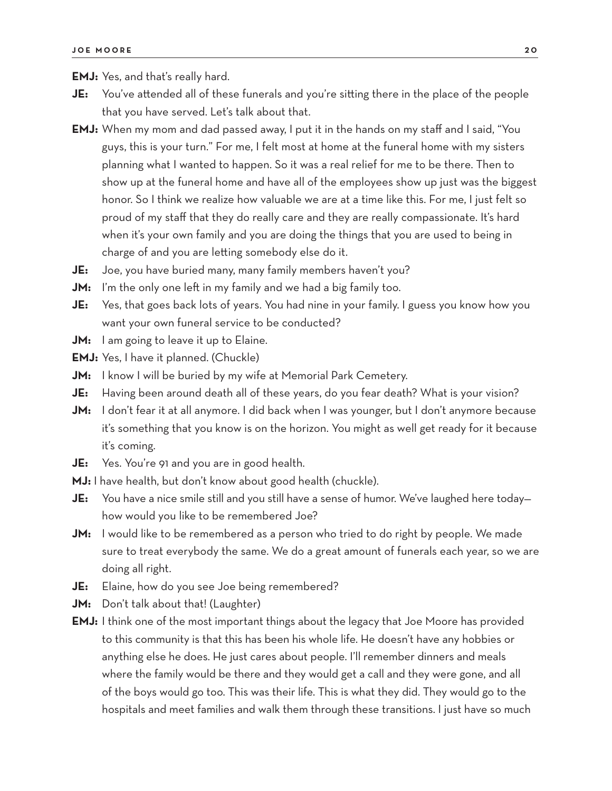**EMJ:** Yes, and that's really hard.

- **JE:** You've attended all of these funerals and you're sitting there in the place of the people that you have served. Let's talk about that.
- **EMJ:** When my mom and dad passed away, I put it in the hands on my staff and I said, "You guys, this is your turn." For me, I felt most at home at the funeral home with my sisters planning what I wanted to happen. So it was a real relief for me to be there. Then to show up at the funeral home and have all of the employees show up just was the biggest honor. So I think we realize how valuable we are at a time like this. For me, I just felt so proud of my staff that they do really care and they are really compassionate. It's hard when it's your own family and you are doing the things that you are used to being in charge of and you are letting somebody else do it.
- **JE:** Joe, you have buried many, many family members haven't you?
- **JM:** I'm the only one left in my family and we had a big family too.
- **JE:** Yes, that goes back lots of years. You had nine in your family. I guess you know how you want your own funeral service to be conducted?
- **JM:** I am going to leave it up to Elaine.
- **EMJ:** Yes, I have it planned. (Chuckle)
- **JM:** I know I will be buried by my wife at Memorial Park Cemetery.
- **JE:** Having been around death all of these years, do you fear death? What is your vision?
- **JM:** I don't fear it at all anymore. I did back when I was younger, but I don't anymore because it's something that you know is on the horizon. You might as well get ready for it because it's coming.
- **JE:** Yes. You're 91 and you are in good health.
- **MJ:** I have health, but don't know about good health (chuckle).
- **JE:** You have a nice smile still and you still have a sense of humor. We've laughed here today how would you like to be remembered Joe?
- **JM:** I would like to be remembered as a person who tried to do right by people. We made sure to treat everybody the same. We do a great amount of funerals each year, so we are doing all right.
- **JE:** Elaine, how do you see Joe being remembered?
- **JM:** Don't talk about that! (Laughter)
- **EMJ:** I think one of the most important things about the legacy that Joe Moore has provided to this community is that this has been his whole life. He doesn't have any hobbies or anything else he does. He just cares about people. I'll remember dinners and meals where the family would be there and they would get a call and they were gone, and all of the boys would go too. This was their life. This is what they did. They would go to the hospitals and meet families and walk them through these transitions. I just have so much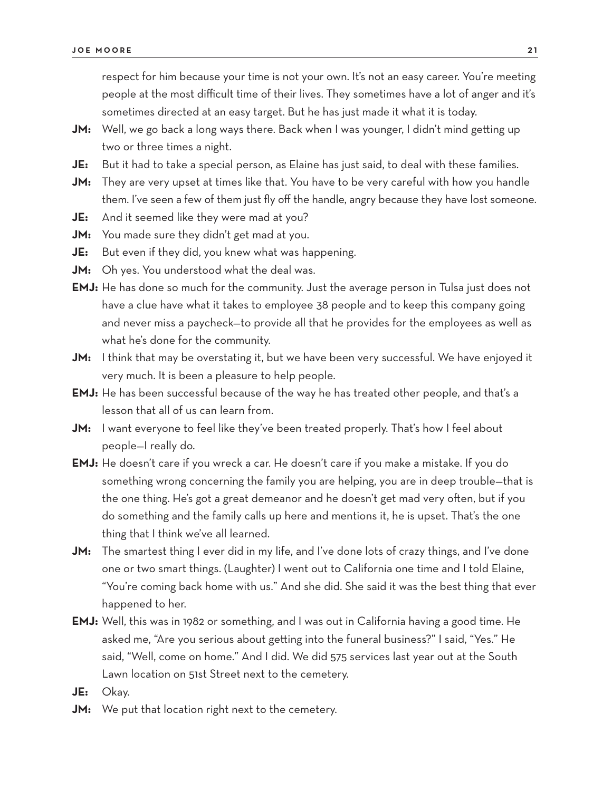respect for him because your time is not your own. It's not an easy career. You're meeting people at the most difficult time of their lives. They sometimes have a lot of anger and it's sometimes directed at an easy target. But he has just made it what it is today.

- **JM:** Well, we go back a long ways there. Back when I was younger, I didn't mind getting up two or three times a night.
- **JE:** But it had to take a special person, as Elaine has just said, to deal with these families.
- **JM:** They are very upset at times like that. You have to be very careful with how you handle them. I've seen a few of them just fly off the handle, angry because they have lost someone.
- **JE:** And it seemed like they were mad at you?
- **JM:** You made sure they didn't get mad at you.
- **JE:** But even if they did, you knew what was happening.
- **JM:** Oh yes. You understood what the deal was.
- **EMJ:** He has done so much for the community. Just the average person in Tulsa just does not have a clue have what it takes to employee 38 people and to keep this company going and never miss a paycheck—to provide all that he provides for the employees as well as what he's done for the community.
- **JM:** I think that may be overstating it, but we have been very successful. We have enjoyed it very much. It is been a pleasure to help people.
- **EMJ:** He has been successful because of the way he has treated other people, and that's a lesson that all of us can learn from.
- **JM:** I want everyone to feel like they've been treated properly. That's how I feel about people—I really do.
- **EMJ:** He doesn't care if you wreck a car. He doesn't care if you make a mistake. If you do something wrong concerning the family you are helping, you are in deep trouble—that is the one thing. He's got a great demeanor and he doesn't get mad very often, but if you do something and the family calls up here and mentions it, he is upset. That's the one thing that I think we've all learned.
- **JM:** The smartest thing I ever did in my life, and I've done lots of crazy things, and I've done one or two smart things. (Laughter) I went out to California one time and I told Elaine, "You're coming back home with us." And she did. She said it was the best thing that ever happened to her.
- **EMJ:** Well, this was in 1982 or something, and I was out in California having a good time. He asked me, "Are you serious about getting into the funeral business?" I said, "Yes." He said, "Well, come on home." And I did. We did 575 services last year out at the South Lawn location on 51st Street next to the cemetery.
- **JE:** Okay.
- **JM:** We put that location right next to the cemetery.